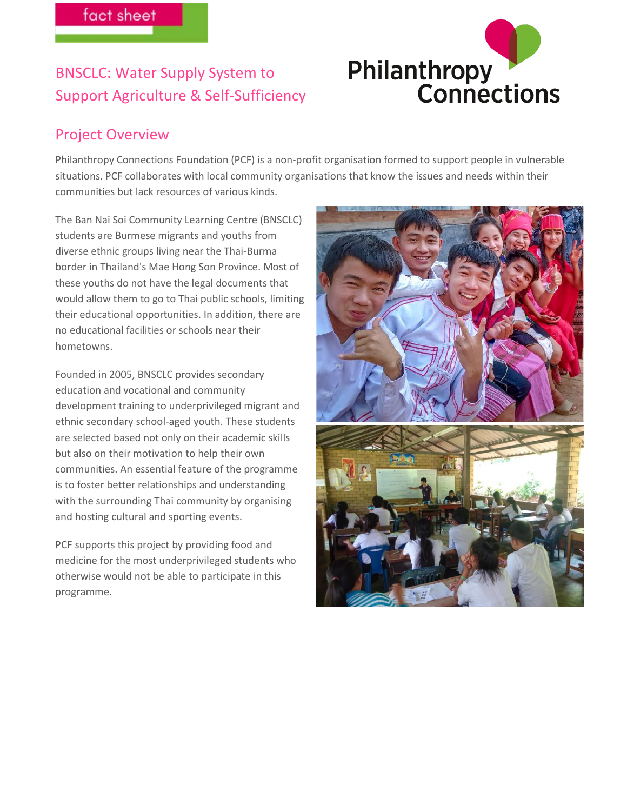# BNSCLC: Water Supply System to Support Agriculture & Self-Sufficiency



### Project Overview

Philanthropy Connections Foundation (PCF) is a non-profit organisation formed to support people in vulnerable situations. PCF collaborates with local community organisations that know the issues and needs within their communities but lack resources of various kinds.

The Ban Nai Soi Community Learning Centre (BNSCLC) students are Burmese migrants and youths from diverse ethnic groups living near the Thai-Burma border in Thailand's Mae Hong Son Province. Most of these youths do not have the legal documents that would allow them to go to Thai public schools, limiting their educational opportunities. In addition, there are no educational facilities or schools near their hometowns.

Founded in 2005, BNSCLC provides secondary education and vocational and community development training to underprivileged migrant and ethnic secondary school-aged youth. These students are selected based not only on their academic skills but also on their motivation to help their own communities. An essential feature of the programme is to foster better relationships and understanding with the surrounding Thai community by organising and hosting cultural and sporting events.

PCF supports this project by providing food and medicine for the most underprivileged students who otherwise would not be able to participate in this programme.

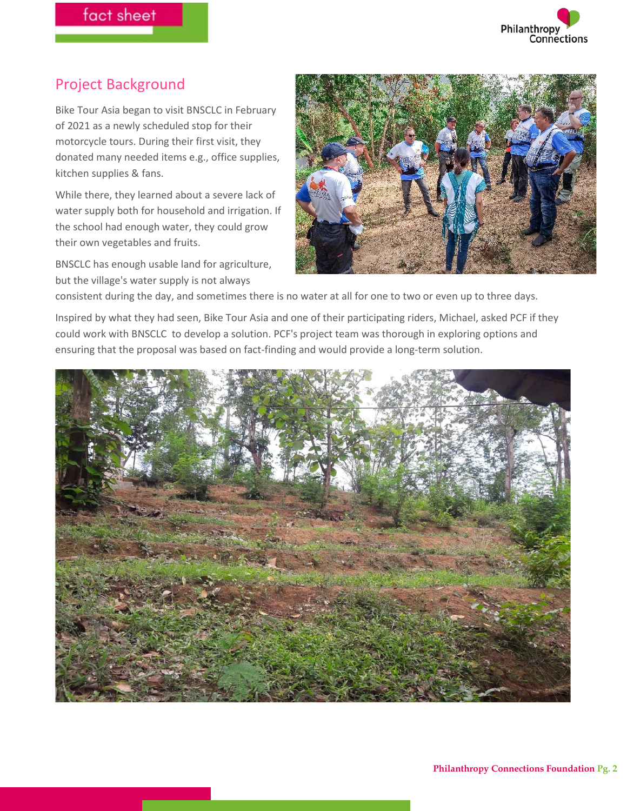## Project Background

Bike Tour Asia began to visit BNSCLC in February of 2021 as a newly scheduled stop for their motorcycle tours. During their first visit, they donated many needed items e.g., office supplies, kitchen supplies & fans.

While there, they learned about a severe lack of water supply both for household and irrigation. If the school had enough water, they could grow their own vegetables and fruits.

BNSCLC has enough usable land for agriculture, but the village's water supply is not always



consistent during the day, and sometimes there is no water at all for one to two or even up to three days.

Inspired by what they had seen, Bike Tour Asia and one of their participating riders, Michael, asked PCF if they could work with BNSCLC to develop a solution. PCF's project team was thorough in exploring options and ensuring that the proposal was based on fact-finding and would provide a long-term solution.

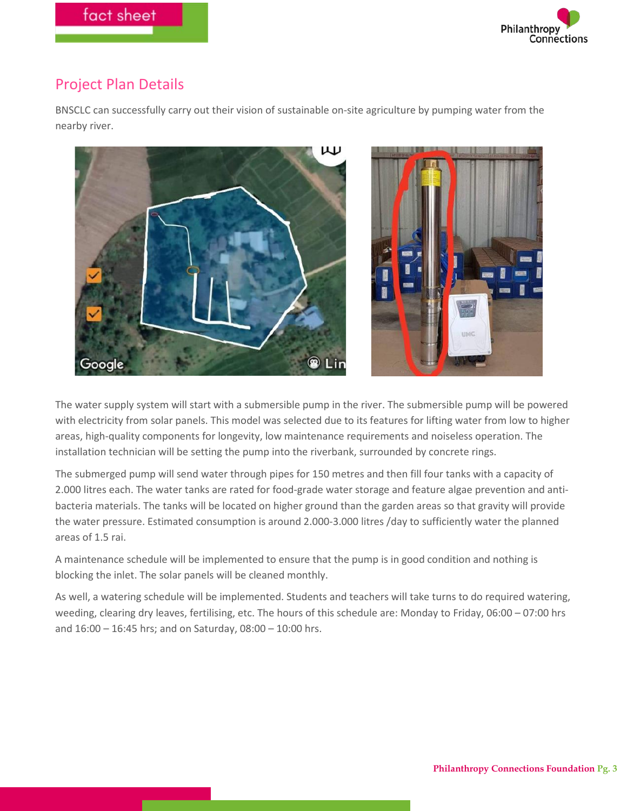

### Project Plan Details

BNSCLC can successfully carry out their vision of sustainable on-site agriculture by pumping water from the nearby river.



The water supply system will start with a submersible pump in the river. The submersible pump will be powered with electricity from solar panels. This model was selected due to its features for lifting water from low to higher areas, high-quality components for longevity, low maintenance requirements and noiseless operation. The installation technician will be setting the pump into the riverbank, surrounded by concrete rings.

The submerged pump will send water through pipes for 150 metres and then fill four tanks with a capacity of 2.000 litres each. The water tanks are rated for food-grade water storage and feature algae prevention and antibacteria materials. The tanks will be located on higher ground than the garden areas so that gravity will provide the water pressure. Estimated consumption is around 2.000-3.000 litres /day to sufficiently water the planned areas of 1.5 rai.

A maintenance schedule will be implemented to ensure that the pump is in good condition and nothing is blocking the inlet. The solar panels will be cleaned monthly.

As well, a watering schedule will be implemented. Students and teachers will take turns to do required watering, weeding, clearing dry leaves, fertilising, etc. The hours of this schedule are: Monday to Friday, 06:00 – 07:00 hrs and 16:00 – 16:45 hrs; and on Saturday, 08:00 – 10:00 hrs.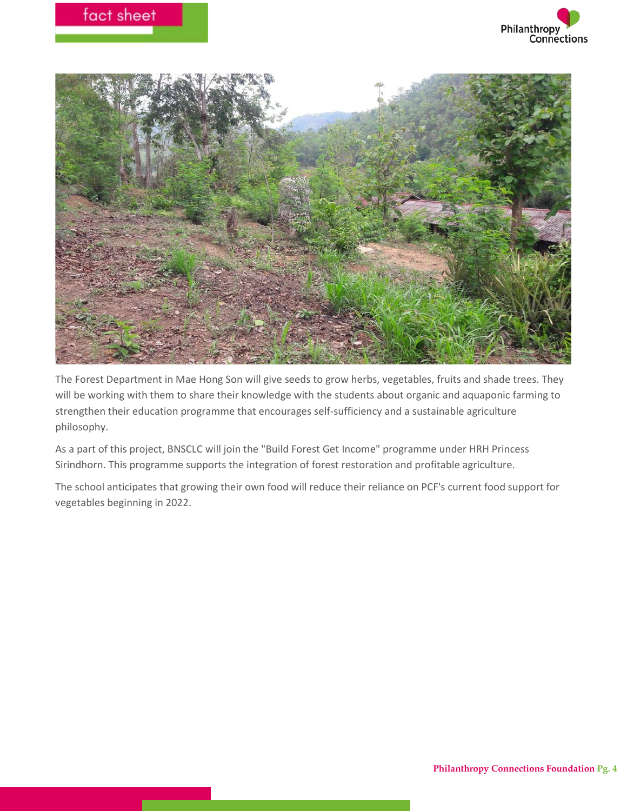



The Forest Department in Mae Hong Son will give seeds to grow herbs, vegetables, fruits and shade trees. They will be working with them to share their knowledge with the students about organic and aquaponic farming to strengthen their education programme that encourages self-sufficiency and a sustainable agriculture philosophy.

As a part of this project, BNSCLC will join the "Build Forest Get Income" programme under HRH Princess Sirindhorn. This programme supports the integration of forest restoration and profitable agriculture.

The school anticipates that growing their own food will reduce their reliance on PCF's current food support for vegetables beginning in 2022.